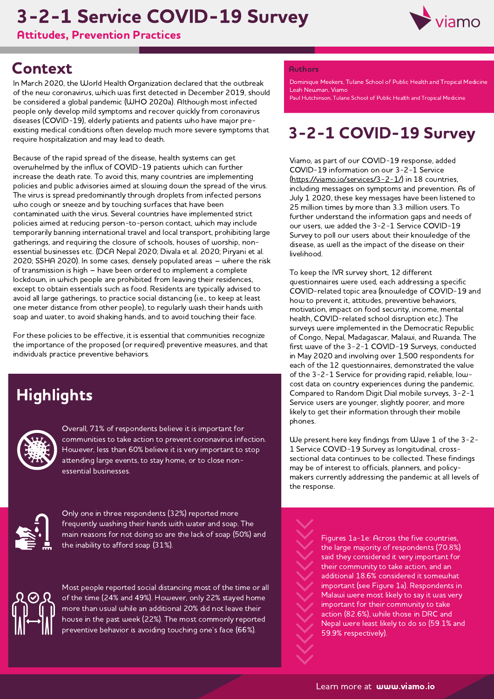# 3-2-1 Service COVID-19 Survey

Attitudes, Prevention Practices



## **Context**

In March 2020, the World Health Organization declared that the outbreak of the new coronavirus, which was first detected in December 2019, should be considered a global pandemic (WHO 2020a). Although most infected people only develop mild symptoms and recover quickly from coronavirus diseases (COVID-19), elderly patients and patients who have major preexisting medical conditions often develop much more severe symptoms that require hospitalization and may lead to death.

Because of the rapid spread of the disease, health systems can get overwhelmed by the influx of COVID-19 patients which can further increase the death rate. To avoid this, many countries are implementing policies and public advisories aimed at slowing down the spread of the virus. The virus is spread predominantly through droplets from infected persons who cough or sneeze and by touching surfaces that have been contaminated with the virus. Several countries have implemented strict policies aimed at reducing person-to-person contact, which may include temporarily banning international travel and local transport, prohibiting large gatherings, and requiring the closure of schools, houses of worship, nonessential businesses etc. (DCA Nepal 2020; Divala et al. 2020; Piryani et al. 2020; SSHA 2020). In some cases, densely populated areas – where the risk of transmission is high – have been ordered to implement a complete lockdown, in which people are prohibited from leaving their residences, except to obtain essentials such as food. Residents are typically advised to avoid all large gatherings, to practice social distancing (i.e., to keep at least one meter distance from other people), to regularly wash their hands with soap and water, to avoid shaking hands, and to avoid touching their face.

For these policies to be effective, it is essential that communities recognize the importance of the proposed (or required) preventive measures, and that individuals practice preventive behaviors.

# **Highlights**



Overall, 71% of respondents believe it is important for communities to take action to prevent coronavirus infection. However, less than 60% believe it is very important to stop attending large events, to stay home, or to close nonessential businesses.



Only one in three respondents (32%) reported more frequently washing their hands with water and soap. The main reasons for not doing so are the lack of soap (50%) and the inability to afford soap (31%).



Most people reported social distancing most of the time or all of the time (24% and 49%). However, only 22% stayed home more than usual while an additional 20% did not leave their house in the past week (22%). The most commonly reported preventive behavior is avoiding touching one's face (66%).

#### **Authors**

Leah Newman, Viamo Dominique Meekers, Tulane School of Public Health and Tropical Medicine

Paul Hutchinson, Tulane School of Public Health and Tropical Medicine

# 3-2-1 COVID-19 Survey

Viamo, as part of our COVID-19 response, added COVID-19 information on our 3-2-1 Service (<https://viamo.io/services/3-2-1/>) in 18 countries, including messages on symptoms and prevention. As of July 1 2020, these key messages have been listened to 25 million times by more than 3.3 million users. To further understand the information gaps and needs of our users, we added the 3-2-1 Service COVID-19 Survey to poll our users about their knowledge of the disease, as well as the impact of the disease on their livelihood.

To keep the IVR survey short, 12 different questionnaires were used, each addressing a specific COVID-related topic area (knowledge of COVID-19 and how to prevent it, attitudes, preventive behaviors, motivation, impact on food security, income, mental health, COVID-related school disruption etc.). The surveys were implemented in the Democratic Republic of Congo, Nepal, Madagascar, Malawi, and Rwanda. The first wave of the 3-2-1 COVID-19 Surveys, conducted in May 2020 and involving over 1,500 respondents for each of the 12 questionnaires, demonstrated the value of the 3-2-1 Service for providing rapid, reliable, lowcost data on country experiences during the pandemic. Compared to Random Digit Dial mobile surveys, 3-2-1 Service users are younger, slightly poorer, and more likely to get their information through their mobile phones.

We present here key findings from Wave 1 of the 3-2- 1 Service COVID-19 Survey as longitudinal, crosssectional data continues to be collected. These findings may be of interest to officials, planners, and policymakers currently addressing the pandemic at all levels of the response.

> Figures 1a-1e: Across the five countries, the large majority of respondents (70.8%) said they considered it very important for their community to take action, and an additional 18.6% considered it somewhat important (see Figure 1a). Respondents in Malawi were most likely to say it was very important for their community to take action (82.6%), while those in DRC and Nepal were least likely to do so (59.1% and 59.9% respectively).

Learn more at **www.viamo.io**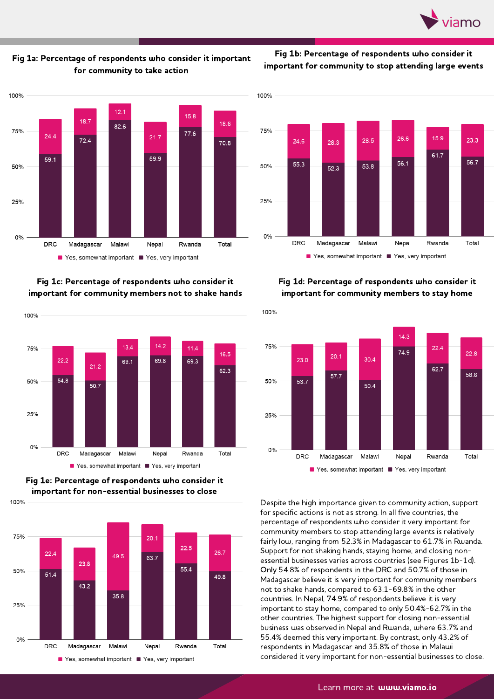



Fig 1b: Percentage of respondents who consider it important for community to stop attending large events



Fig 1c: Percentage of respondents who consider it important for community members not to shake hands



Fig 1e: Percentage of respondents who consider it important for non-essential businesses to close

100%





#### Fig 1d: Percentage of respondents who consider it important for community members to stay home



Despite the high importance given to community action, support for specific actions is not as strong. In all five countries, the percentage of respondents who consider it very important for community members to stop attending large events is relatively fairly low, ranging from 52.3% in Madagascar to 61.7% in Rwanda. Support for not shaking hands, staying home, and closing nonessential businesses varies across countries (see Figures 1b-1d). Only 54.8% of respondents in the DRC and 50.7% of those in Madagascar believe it is very important for community members not to shake hands, compared to 63.1-69.8% in the other countries. In Nepal, 74.9% of respondents believe it is very important to stay home, compared to only 50.4%-62.7% in the other countries. The highest support for closing non-essential business was observed in Nepal and Rwanda, where 63.7% and 55.4% deemed this very important. By contrast, only 43.2% of respondents in Madagascar and 35.8% of those in Malawi considered it very important for non-essential businesses to close.

#### Learn more at **www.viamo.io**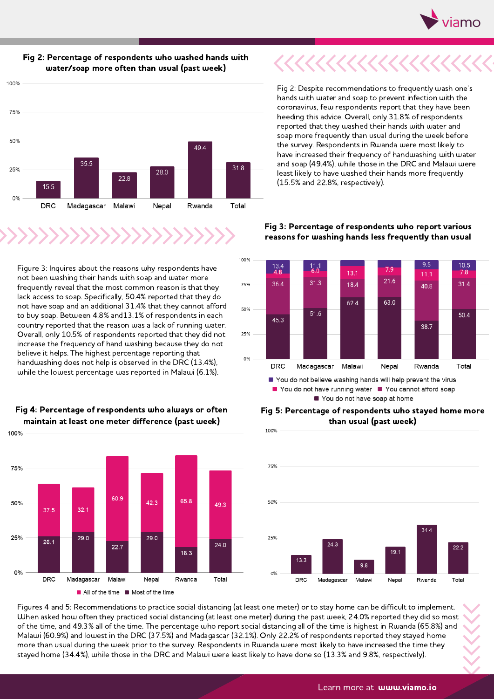



#### Fig 2: Percentage of respondents who washed hands with water/soap more often than usual (past week)

100%

Figure 3: Inquires about the reasons why respondents have not been washing their hands with soap and water more frequently reveal that the most common reason is that they lack access to soap. Specifically, 50.4% reported that they do not have soap and an additional 31.4% that they cannot afford to buy soap. Between 4.8% and13.1% of respondents in each country reported that the reason was <sup>a</sup> lack of running water. Overall, only 10.5% of respondents reported that they did not increase the frequency of hand washing because they do not believe it helps. The highest percentage reporting that handwashing does not help is observed in the DRC (13.4%), while the lowest percentage was reported in Malawi (6.1%).



#### Fig 4: Percentage of respondents who always or often maintain at least one meter difference (past week)

Fig 2: Despite recommendations to frequently wash one's hands with water and soap to prevent infection with the coronavirus, few respondents report that they have been heeding this advice. Overall, only 31.8% of respondents reported that they washed their hands with water and soap more frequently than usual during the week before the survey. Respondents in Rwanda were most likely to have increased their frequency of handwashing with water and soap (49.4%), while those in the DRC and Malawi were least likely to have washed their hands more frequently (15.5% and 22.8%, respectively).



### Fig 3: Percentage of respondents who report various reasons for washing hands less frequently than usual

#### Fig 5: Percentage of respondents who stayed home more than usual (past week) 100%



Figures 4 and 5: Recommendations to practice social distancing (at least one meter) or to stay home can be difficult to implement.<br>When asked how often they practiced social distancing (at least one meter) during the past of the time, and 49.3% all of the time. The percentage who report social distancing all of the time is highest in Rwanda (65.8%) and Malawi (60.9%) and lowest in the DRC (37.5%) and Madagascar (32.1%). Only 22.2% of respondents reported they stayed home<br>more than usual during the week prior to the survey. Respondents in Rwanda were most likely to have i stayed home (34.4%), while those in the DRC and Malawi were least likely to have done so (13.3% and 9.8%, respectively).